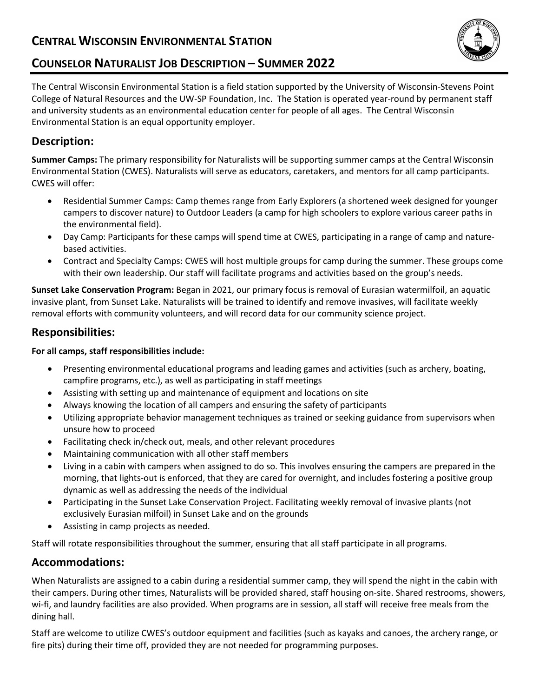# **CENTRAL WISCONSIN ENVIRONMENTAL STATION**



## **COUNSELOR NATURALIST JOB DESCRIPTION – SUMMER 2022**

The Central Wisconsin Environmental Station is a field station supported by the University of Wisconsin-Stevens Point College of Natural Resources and the UW-SP Foundation, Inc. The Station is operated year-round by permanent staff and university students as an environmental education center for people of all ages. The Central Wisconsin Environmental Station is an equal opportunity employer.

### **Description:**

**Summer Camps:** The primary responsibility for Naturalists will be supporting summer camps at the Central Wisconsin Environmental Station (CWES). Naturalists will serve as educators, caretakers, and mentors for all camp participants. CWES will offer:

- Residential Summer Camps: Camp themes range from Early Explorers (a shortened week designed for younger campers to discover nature) to Outdoor Leaders (a camp for high schoolers to explore various career paths in the environmental field).
- Day Camp: Participants for these camps will spend time at CWES, participating in a range of camp and naturebased activities.
- Contract and Specialty Camps: CWES will host multiple groups for camp during the summer. These groups come with their own leadership. Our staff will facilitate programs and activities based on the group's needs.

**Sunset Lake Conservation Program:** Began in 2021, our primary focus is removal of Eurasian watermilfoil, an aquatic invasive plant, from Sunset Lake. Naturalists will be trained to identify and remove invasives, will facilitate weekly removal efforts with community volunteers, and will record data for our community science project.

#### **Responsibilities:**

#### **For all camps, staff responsibilities include:**

- Presenting environmental educational programs and leading games and activities (such as archery, boating, campfire programs, etc.), as well as participating in staff meetings
- Assisting with setting up and maintenance of equipment and locations on site
- Always knowing the location of all campers and ensuring the safety of participants
- Utilizing appropriate behavior management techniques as trained or seeking guidance from supervisors when unsure how to proceed
- Facilitating check in/check out, meals, and other relevant procedures
- Maintaining communication with all other staff members
- Living in a cabin with campers when assigned to do so. This involves ensuring the campers are prepared in the morning, that lights-out is enforced, that they are cared for overnight, and includes fostering a positive group dynamic as well as addressing the needs of the individual
- Participating in the Sunset Lake Conservation Project. Facilitating weekly removal of invasive plants (not exclusively Eurasian milfoil) in Sunset Lake and on the grounds
- Assisting in camp projects as needed.

Staff will rotate responsibilities throughout the summer, ensuring that all staff participate in all programs.

### **Accommodations:**

When Naturalists are assigned to a cabin during a residential summer camp, they will spend the night in the cabin with their campers. During other times, Naturalists will be provided shared, staff housing on-site. Shared restrooms, showers, wi-fi, and laundry facilities are also provided. When programs are in session, all staff will receive free meals from the dining hall.

Staff are welcome to utilize CWES's outdoor equipment and facilities (such as kayaks and canoes, the archery range, or fire pits) during their time off, provided they are not needed for programming purposes.